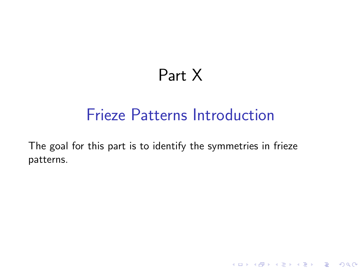# Part X

## Frieze Patterns Introduction

K ロ ▶ K @ ▶ K 할 X X 할 X | 할 X 1 9 Q Q ^

The goal for this part is to identify the symmetries in frieze patterns.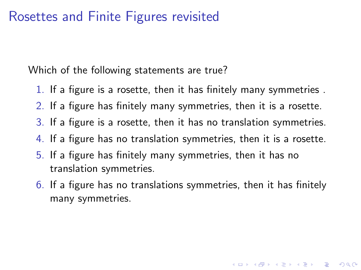#### Rosettes and Finite Figures revisited

Which of the following statements are true?

- 1. If a figure is a rosette, then it has finitely many symmetries .
- 2. If a figure has finitely many symmetries, then it is a rosette.
- 3. If a figure is a rosette, then it has no translation symmetries.
- 4. If a figure has no translation symmetries, then it is a rosette.
- 5. If a figure has finitely many symmetries, then it has no translation symmetries.
- 6. If a figure has no translations symmetries, then it has finitely many symmetries.

**K ロ ▶ K @ ▶ K 할 X X 할 X → 할 X → 9 Q Q ^**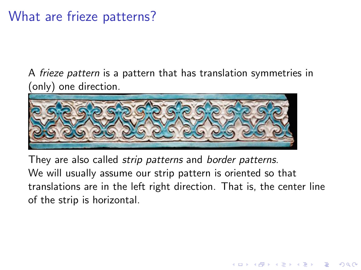## What are frieze patterns?

A *frieze pattern* is a pattern that has translation symmetries in (only) one direction.



They are also called *strip patterns* and *border patterns*. We will usually assume our strip pattern is oriented so that translations are in the left right direction. That is, the center line of the strip is horizontal.

**KORK ERKER ADE YOUR**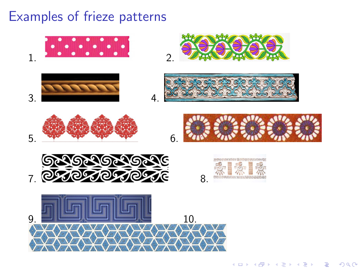## Examples of frieze patterns

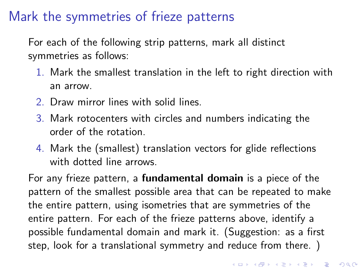## Mark the symmetries of frieze patterns

For each of the following strip patterns, mark all distinct symmetries as follows:

- 1. Mark the smallest translation in the left to right direction with an arrow.
- 2. Draw mirror lines with solid lines.
- 3. Mark rotocenters with circles and numbers indicating the order of the rotation.
- 4. Mark the (smallest) translation vectors for glide reflections with dotted line arrows.

For any frieze pattern, a fundamental domain is a piece of the pattern of the smallest possible area that can be repeated to make the entire pattern, using isometries that are symmetries of the entire pattern. For each of the frieze patterns above, identify a possible fundamental domain and mark it. (Suggestion: as a first step, look for a translational symmetry and reduce from there. )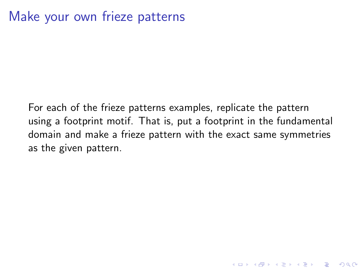#### Make your own frieze patterns

For each of the frieze patterns examples, replicate the pattern using a footprint motif. That is, put a footprint in the fundamental domain and make a frieze pattern with the exact same symmetries as the given pattern.

K ロ ▶ K @ ▶ K 할 > K 할 > 1 할 > 1 이익어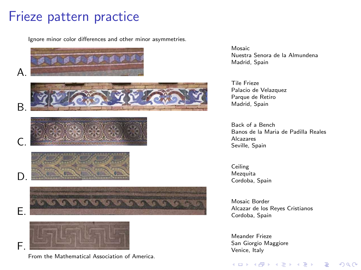#### Frieze pattern practice

Ignore minor color differences and other minor asymmetries.



From the [Mathematical Association of America.](http://www.maa.org/sites/default/files/images/upload_library/4/vol1/architecture/Math/seven.html)

Mosaic Nuestra Senora de la Almundena Madrid, Spain

Tile Frieze Palacio de Velazquez Parque de Retiro Madrid, Spain

Back of a Bench Banos de la Maria de Padilla Reales Alcazares Seville, Spain

Ceiling Mezquita Cordoba, Spain

Mosaic Border Alcazar de los Reyes Cristianos Cordoba, Spain

 $4$  ロ )  $4$   $\overline{r}$  )  $4$   $\overline{z}$  )  $4$   $\overline{z}$  )

 $2990$ 

 $\equiv$ 

Meander Frieze San Giorgio Maggiore Venice, Italy